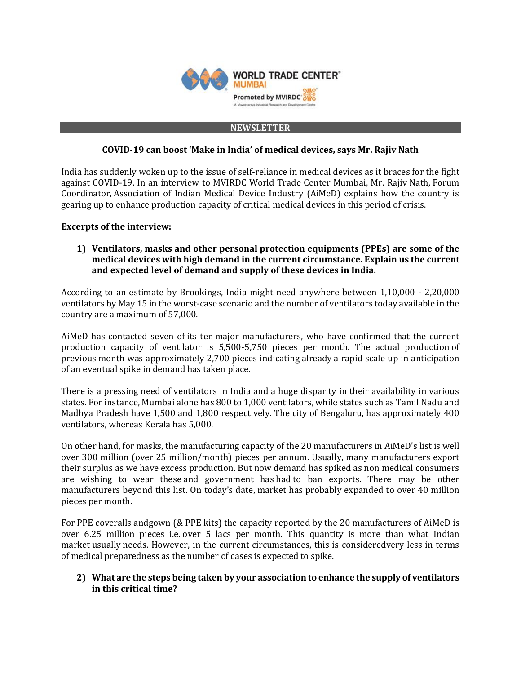

#### **NEWSLETTER**

# **COVID-19 can boost 'Make in India' of medical devices, says Mr. Rajiv Nath**

India has suddenly woken up to the issue of self-reliance in medical devices as it braces for the fight against COVID-19. In an interview to MVIRDC World Trade Center Mumbai, Mr. Rajiv Nath, Forum Coordinator, Association of Indian Medical Device Industry (AiMeD) explains how the country is gearing up to enhance production capacity of critical medical devices in this period of crisis.

### **Excerpts of the interview:**

# **1) Ventilators, masks and other personal protection equipments (PPEs) are some of the medical devices with high demand in the current circumstance. Explain us the current and expected level of demand and supply of these devices in India.**

According to an estimate by Brookings, India might need anywhere between 1,10,000 - 2,20,000 ventilators by May 15 in the worst-case scenario and the number of ventilators today available in the country are a maximum of 57,000.

AiMeD has contacted seven of its ten major manufacturers, who have confirmed that the current production capacity of ventilator is 5,500-5,750 pieces per month. The actual production of previous month was approximately 2,700 pieces indicating already a rapid scale up in anticipation of an eventual spike in demand has taken place.

There is a pressing need of ventilators in India and a huge disparity in their availability in various states. For instance, Mumbai alone has 800 to 1,000 ventilators, while states such as Tamil Nadu and Madhya Pradesh have 1,500 and 1,800 respectively. The city of Bengaluru, has approximately 400 ventilators, whereas Kerala has 5,000.

On other hand, for masks, the manufacturing capacity of the 20 manufacturers in AiMeD's list is well over 300 million (over 25 million/month) pieces per annum. Usually, many manufacturers export their surplus as we have excess production. But now demand has spiked as non medical consumers are wishing to wear these and government has had to ban exports. There may be other manufacturers beyond this list. On today's date, market has probably expanded to over 40 million pieces per month.

For PPE coveralls andgown (& PPE kits) the capacity reported by the 20 manufacturers of AiMeD is over 6.25 million pieces i.e. over 5 lacs per month. This quantity is more than what Indian market usually needs. However, in the current circumstances, this is consideredvery less in terms of medical preparedness as the number of cases is expected to spike.

# **2) What are the steps being taken by your association to enhance the supply of ventilators in this critical time?**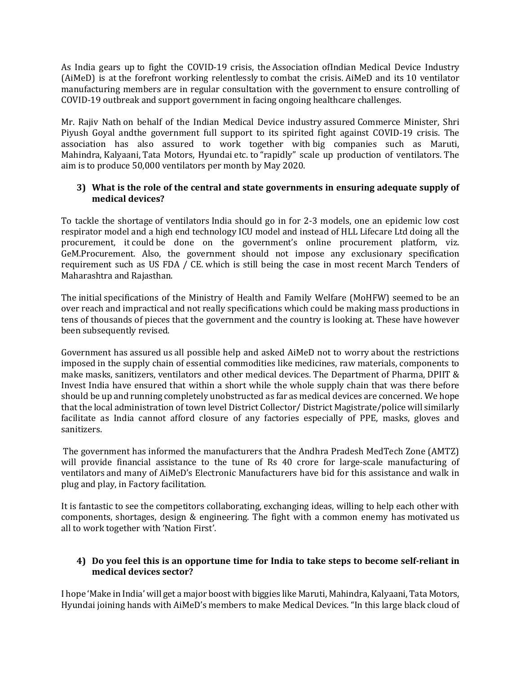As India gears up to fight the COVID-19 crisis, the Association ofIndian Medical Device Industry (AiMeD) is at the forefront working relentlessly to combat the crisis. AiMeD and its 10 ventilator manufacturing members are in regular consultation with the government to ensure controlling of COVID-19 outbreak and support government in facing ongoing healthcare challenges.

Mr. Rajiv Nath on behalf of the Indian Medical Device industry assured Commerce Minister, Shri Piyush Goyal andthe government full support to its spirited fight against COVID-19 crisis. The association has also assured to work together with big companies such as Maruti, Mahindra, Kalyaani, Tata Motors, Hyundai etc. to "rapidly" scale up production of ventilators. The aim is to produce 50,000 ventilators per month by May 2020.

# **3) What is the role of the central and state governments in ensuring adequate supply of medical devices?**

To tackle the shortage of ventilators India should go in for 2-3 models, one an epidemic low cost respirator model and a high end technology ICU model and instead of HLL Lifecare Ltd doing all the procurement, it could be done on the government's online procurement platform, viz. GeM.Procurement. Also, the government should not impose any exclusionary specification requirement such as US FDA / CE. which is still being the case in most recent March Tenders of Maharashtra and Rajasthan.

The initial specifications of the Ministry of Health and Family Welfare (MoHFW) seemed to be an over reach and impractical and not really specifications which could be making mass productions in tens of thousands of pieces that the government and the country is looking at. These have however been subsequently revised.

Government has assured us all possible help and asked AiMeD not to worry about the restrictions imposed in the supply chain of essential commodities like medicines, raw materials, components to make masks, sanitizers, ventilators and other medical devices. The Department of Pharma, DPIIT & Invest India have ensured that within a short while the whole supply chain that was there before should be up and running completely unobstructed as far as medical devices are concerned. We hope that the local administration of town level District Collector/ District Magistrate/police will similarly facilitate as India cannot afford closure of any factories especially of PPE, masks, gloves and sanitizers.

The government has informed the manufacturers that the Andhra Pradesh MedTech Zone (AMTZ) will provide financial assistance to the tune of Rs 40 crore for large-scale manufacturing of ventilators and many of AiMeD's Electronic Manufacturers have bid for this assistance and walk in plug and play, in Factory facilitation.

It is fantastic to see the competitors collaborating, exchanging ideas, willing to help each other with components, shortages, design & engineering. The fight with a common enemy has motivated us all to work together with 'Nation First'.

# **4) Do you feel this is an opportune time for India to take steps to become self-reliant in medical devices sector?**

I hope 'Make in India' will get a major boost with biggies like Maruti, Mahindra, Kalyaani, Tata Motors, Hyundai joining hands with AiMeD's members to make Medical Devices. "In this large black cloud of